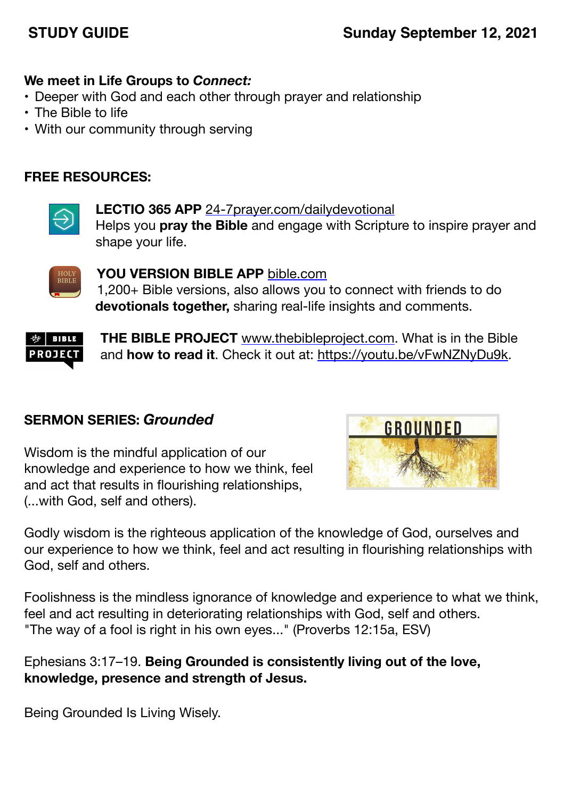# **STUDY GUIDE Sunday September 12, 2021**

## **We meet in Life Groups to** *Connect:*

- Deeper with God and each other through prayer and relationship
- The Bible to life
- With our community through serving

## **FREE RESOURCES:**



**LECTIO 365 APP** [24-7prayer.com/dailydevotional](http://24-7prayer.com/dailydevotional) Helps you **pray the Bible** and engage with Scripture to inspire prayer and shape your life.



**YOU VERSION BIBLE APP** [bible.com](http://bible.com) 1,200+ Bible versions, also allows you to connect with friends to do **devotionals together,** sharing real-life insights and comments.



**THE BIBLE PROJECT** [www.thebibleproject.com.](http://www.thebibleproject.com) What is in the Bible and **how to read it**. Check it out at:<https://youtu.be/vFwNZNyDu9k>.

## **SERMON SERIES:** *Grounded*

Wisdom is the mindful application of our knowledge and experience to how we think, feel and act that results in flourishing relationships, (...with God, self and others).



Godly wisdom is the righteous application of the knowledge of God, ourselves and our experience to how we think, feel and act resulting in flourishing relationships with God, self and others.

Foolishness is the mindless ignorance of knowledge and experience to what we think, feel and act resulting in deteriorating relationships with God, self and others. "The way of a fool is right in his own eyes..." (Proverbs 12:15a, ESV)

Ephesians 3:17–19. **Being Grounded is consistently living out of the love, knowledge, presence and strength of Jesus.**

Being Grounded Is Living Wisely.